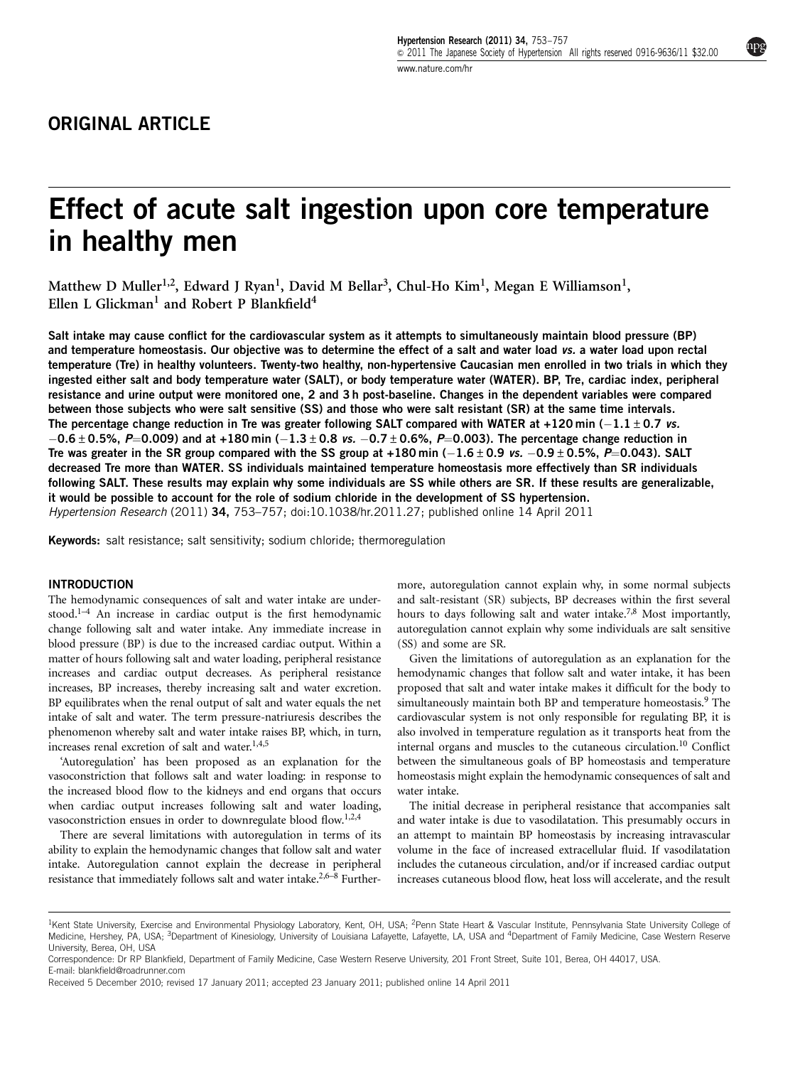# Effect of acute salt ingestion upon core temperature in healthy men

Matthew D Muller<sup>1,2</sup>, Edward J Ryan<sup>1</sup>, David M Bellar<sup>3</sup>, Chul-Ho Kim<sup>1</sup>, Megan E Williamson<sup>1</sup>, Ellen L Glickman<sup>1</sup> and Robert P Blankfield<sup>4</sup>

Salt intake may cause conflict for the cardiovascular system as it attempts to simultaneously maintain blood pressure (BP) and temperature homeostasis. Our objective was to determine the effect of a salt and water load vs. a water load upon rectal temperature (Tre) in healthy volunteers. Twenty-two healthy, non-hypertensive Caucasian men enrolled in two trials in which they ingested either salt and body temperature water (SALT), or body temperature water (WATER). BP, Tre, cardiac index, peripheral resistance and urine output were monitored one, 2 and 3 h post-baseline. Changes in the dependent variables were compared between those subjects who were salt sensitive (SS) and those who were salt resistant (SR) at the same time intervals. The percentage change reduction in Tre was greater following SALT compared with WATER at +120 min ( $-1.1\pm0.7\,$  vs.  $-0.6\pm0.5$ %, P=0.009) and at +180 min ( $-1.3\pm0.8$  vs.  $-0.7\pm0.6$ %, P=0.003). The percentage change reduction in Tre was greater in the SR group compared with the SS group at +180 min (-1.6  $\pm$  0.9 vs. -0.9  $\pm$  0.5%, P=0.043). SALT decreased Tre more than WATER. SS individuals maintained temperature homeostasis more effectively than SR individuals following SALT. These results may explain why some individuals are SS while others are SR. If these results are generalizable, it would be possible to account for the role of sodium chloride in the development of SS hypertension. Hypertension Research (2011) 34, 753–757; doi:[10.1038/hr.2011.27](http://dx.doi.org/10.1038/hr.2011.27); published online 14 April 2011

Keywords: salt resistance; salt sensitivity; sodium chloride; thermoregulation

## **INTRODUCTION**

The hemodynamic consequences of salt and water intake are under-stood.<sup>[1–4](#page-4-0)</sup> An increase in cardiac output is the first hemodynamic change following salt and water intake. Any immediate increase in blood pressure (BP) is due to the increased cardiac output. Within a matter of hours following salt and water loading, peripheral resistance increases and cardiac output decreases. As peripheral resistance increases, BP increases, thereby increasing salt and water excretion. BP equilibrates when the renal output of salt and water equals the net intake of salt and water. The term pressure-natriuresis describes the phenomenon whereby salt and water intake raises BP, which, in turn, increases renal excretion of salt and water.<sup>[1,4,5](#page-4-0)</sup>

'Autoregulation' has been proposed as an explanation for the vasoconstriction that follows salt and water loading: in response to the increased blood flow to the kidneys and end organs that occurs when cardiac output increases following salt and water loading, vasoconstriction ensues in order to downregulate blood flow[.1,2,4](#page-4-0)

There are several limitations with autoregulation in terms of its ability to explain the hemodynamic changes that follow salt and water intake. Autoregulation cannot explain the decrease in peripheral resistance that immediately follows salt and water intake[.2,6–8](#page-4-0) Furthermore, autoregulation cannot explain why, in some normal subjects and salt-resistant (SR) subjects, BP decreases within the first several hours to days following salt and water intake.<sup>7,8</sup> Most importantly, autoregulation cannot explain why some individuals are salt sensitive (SS) and some are SR.

Given the limitations of autoregulation as an explanation for the hemodynamic changes that follow salt and water intake, it has been proposed that salt and water intake makes it difficult for the body to simultaneously maintain both BP and temperature homeostasis.<sup>9</sup> The cardiovascular system is not only responsible for regulating BP, it is also involved in temperature regulation as it transports heat from the internal organs and muscles to the cutaneous circulation[.10](#page-4-0) Conflict between the simultaneous goals of BP homeostasis and temperature homeostasis might explain the hemodynamic consequences of salt and water intake.

The initial decrease in peripheral resistance that accompanies salt and water intake is due to vasodilatation. This presumably occurs in an attempt to maintain BP homeostasis by increasing intravascular volume in the face of increased extracellular fluid. If vasodilatation includes the cutaneous circulation, and/or if increased cardiac output increases cutaneous blood flow, heat loss will accelerate, and the result

<sup>&</sup>lt;sup>1</sup>Kent State University, Exercise and Environmental Physiology Laboratory, Kent, OH, USA; <sup>2</sup>Penn State Heart & Vascular Institute, Pennsylvania State University College of Medicine, Hershey, PA, USA; <sup>3</sup>Department of Kinesiology, University of Louisiana Lafayette, Lafayette, LA, USA and <sup>4</sup>Department of Family Medicine, Case Western Reserve University, Berea, OH, USA

Correspondence: Dr RP Blankfield, Department of Family Medicine, Case Western Reserve University, 201 Front Street, Suite 101, Berea, OH 44017, USA. E-mail: [blankfield@roadrunner.com](mailto:blankfield@roadrunner.com)

Received 5 December 2010; revised 17 January 2011; accepted 23 January 2011; published online 14 April 2011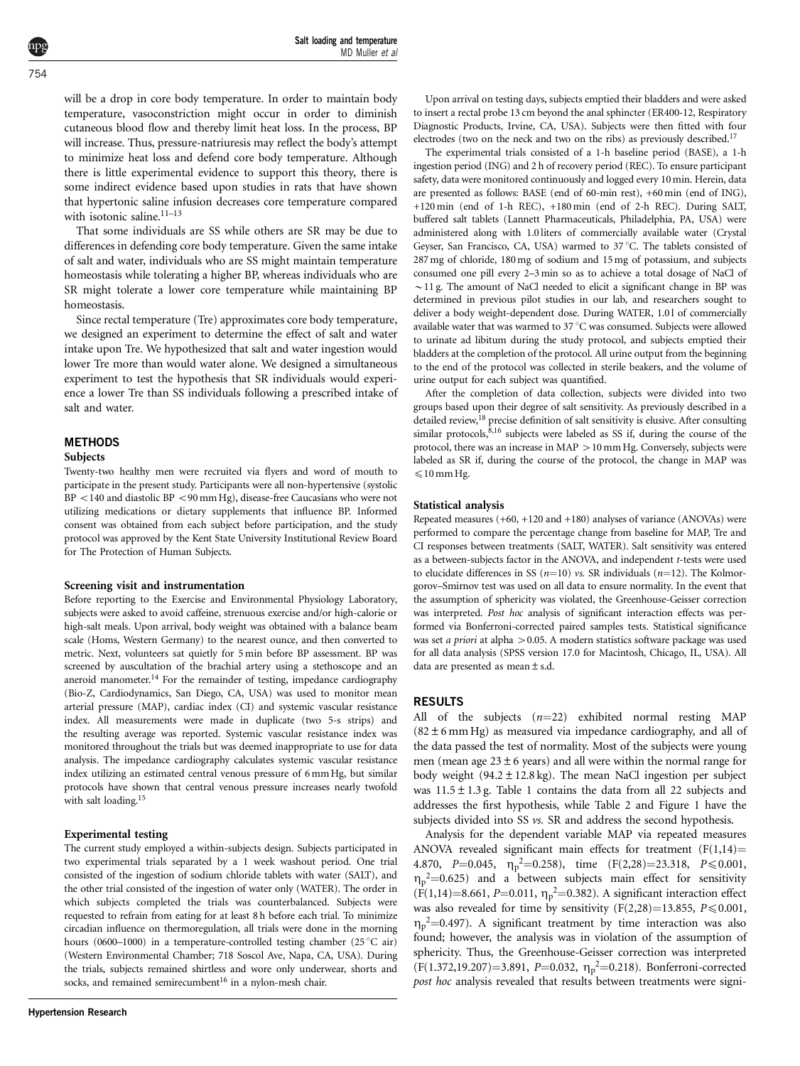will be a drop in core body temperature. In order to maintain body temperature, vasoconstriction might occur in order to diminish cutaneous blood flow and thereby limit heat loss. In the process, BP will increase. Thus, pressure-natriuresis may reflect the body's attempt to minimize heat loss and defend core body temperature. Although there is little experimental evidence to support this theory, there is some indirect evidence based upon studies in rats that have shown that hypertonic saline infusion decreases core temperature compared with isotonic saline. $11-13$ 

That some individuals are SS while others are SR may be due to differences in defending core body temperature. Given the same intake of salt and water, individuals who are SS might maintain temperature homeostasis while tolerating a higher BP, whereas individuals who are SR might tolerate a lower core temperature while maintaining BP homeostasis.

Since rectal temperature (Tre) approximates core body temperature, we designed an experiment to determine the effect of salt and water intake upon Tre. We hypothesized that salt and water ingestion would lower Tre more than would water alone. We designed a simultaneous experiment to test the hypothesis that SR individuals would experience a lower Tre than SS individuals following a prescribed intake of salt and water.

# METHODS

#### Subjects

Twenty-two healthy men were recruited via flyers and word of mouth to participate in the present study. Participants were all non-hypertensive (systolic  $BP < 140$  and diastolic  $BP < 90$  mm Hg), disease-free Caucasians who were not utilizing medications or dietary supplements that influence BP. Informed consent was obtained from each subject before participation, and the study protocol was approved by the Kent State University Institutional Review Board for The Protection of Human Subjects.

#### Screening visit and instrumentation

Before reporting to the Exercise and Environmental Physiology Laboratory, subjects were asked to avoid caffeine, strenuous exercise and/or high-calorie or high-salt meals. Upon arrival, body weight was obtained with a balance beam scale (Homs, Western Germany) to the nearest ounce, and then converted to metric. Next, volunteers sat quietly for 5 min before BP assessment. BP was screened by auscultation of the brachial artery using a stethoscope and an aneroid manometer[.14](#page-4-0) For the remainder of testing, impedance cardiography (Bio-Z, Cardiodynamics, San Diego, CA, USA) was used to monitor mean arterial pressure (MAP), cardiac index (CI) and systemic vascular resistance index. All measurements were made in duplicate (two 5-s strips) and the resulting average was reported. Systemic vascular resistance index was monitored throughout the trials but was deemed inappropriate to use for data analysis. The impedance cardiography calculates systemic vascular resistance index utilizing an estimated central venous pressure of 6 mm Hg, but similar protocols have shown that central venous pressure increases nearly twofold with salt loading.[15](#page-4-0)

#### Experimental testing

The current study employed a within-subjects design. Subjects participated in two experimental trials separated by a 1 week washout period. One trial consisted of the ingestion of sodium chloride tablets with water (SALT), and the other trial consisted of the ingestion of water only (WATER). The order in which subjects completed the trials was counterbalanced. Subjects were requested to refrain from eating for at least 8 h before each trial. To minimize circadian influence on thermoregulation, all trials were done in the morning hours (0600–1000) in a temperature-controlled testing chamber (25  $\degree$ C air) (Western Environmental Chamber; 718 Soscol Ave, Napa, CA, USA). During the trials, subjects remained shirtless and wore only underwear, shorts and socks, and remained semirecumbent<sup>[16](#page-4-0)</sup> in a nylon-mesh chair.

Upon arrival on testing days, subjects emptied their bladders and were asked to insert a rectal probe 13 cm beyond the anal sphincter (ER400-12, Respiratory Diagnostic Products, Irvine, CA, USA). Subjects were then fitted with four electrodes (two on the neck and two on the ribs) as previously described.<sup>17</sup>

The experimental trials consisted of a 1-h baseline period (BASE), a 1-h ingestion period (ING) and 2 h of recovery period (REC). To ensure participant safety, data were monitored continuously and logged every 10 min. Herein, data are presented as follows: BASE (end of 60-min rest), +60 min (end of ING), +120 min (end of 1-h REC), +180 min (end of 2-h REC). During SALT, buffered salt tablets (Lannett Pharmaceuticals, Philadelphia, PA, USA) were administered along with 1.0 liters of commercially available water (Crystal Geyser, San Francisco, CA, USA) warmed to  $37^{\circ}$ C. The tablets consisted of 287 mg of chloride, 180 mg of sodium and 15 mg of potassium, and subjects consumed one pill every 2–3 min so as to achieve a total dosage of NaCl of  $\sim$  11 g. The amount of NaCl needed to elicit a significant change in BP was determined in previous pilot studies in our lab, and researchers sought to deliver a body weight-dependent dose. During WATER, 1.01 of commercially available water that was warmed to  $37 \degree C$  was consumed. Subjects were allowed to urinate ad libitum during the study protocol, and subjects emptied their bladders at the completion of the protocol. All urine output from the beginning to the end of the protocol was collected in sterile beakers, and the volume of urine output for each subject was quantified.

After the completion of data collection, subjects were divided into two groups based upon their degree of salt sensitivity. As previously described in a detailed review,<sup>18</sup> precise definition of salt sensitivity is elusive. After consulting similar protocols, $8,16$  subjects were labeled as SS if, during the course of the protocol, there was an increase in  $MAP > 10$  mm Hg. Conversely, subjects were labeled as SR if, during the course of the protocol, the change in MAP was  $\leq 10$  mm Hg.

#### Statistical analysis

Repeated measures  $(+60, +120$  and  $+180)$  analyses of variance (ANOVAs) were performed to compare the percentage change from baseline for MAP, Tre and CI responses between treatments (SALT, WATER). Salt sensitivity was entered as a between-subjects factor in the ANOVA, and independent t-tests were used to elucidate differences in SS ( $n=10$ ) vs. SR individuals ( $n=12$ ). The Kolmorgorov–Smirnov test was used on all data to ensure normality. In the event that the assumption of sphericity was violated, the Greenhouse-Geisser correction was interpreted. Post hoc analysis of significant interaction effects was performed via Bonferroni-corrected paired samples tests. Statistical significance was set a priori at alpha  $> 0.05$ . A modern statistics software package was used for all data analysis (SPSS version 17.0 for Macintosh, Chicago, IL, USA). All data are presented as mean±s.d.

## **RESULTS**

All of the subjects  $(n=22)$  exhibited normal resting MAP  $(82 \pm 6 \text{ mm Hg})$  as measured via impedance cardiography, and all of the data passed the test of normality. Most of the subjects were young men (mean age  $23 \pm 6$  years) and all were within the normal range for body weight  $(94.2 \pm 12.8 \text{ kg})$ . The mean NaCl ingestion per subject was  $11.5 \pm 1.3$  g. [Table 1](#page-2-0) contains the data from all 22 subjects and addresses the first hypothesis, while [Table 2](#page-2-0) and [Figure 1](#page-2-0) have the subjects divided into SS *vs*. SR and address the second hypothesis.

Analysis for the dependent variable MAP via repeated measures ANOVA revealed significant main effects for treatment  $(F(1,14))$ 4.870, P=0.045,  $\eta_p^2$ =0.258), time (F(2,28)=23.318, P ≤ 0.001,  $\eta_p^2$ =0.625) and a between subjects main effect for sensitivity  $(F(1,14)=8.661, P=0.011, \eta_p^2=0.382)$ . A significant interaction effect was also revealed for time by sensitivity  $(F(2,28)=13.855, P\leq0.001,$  $\eta_p^2$ =0.497). A significant treatment by time interaction was also found; however, the analysis was in violation of the assumption of sphericity. Thus, the Greenhouse-Geisser correction was interpreted  $(F(1.372, 19.207)=3.891, P=0.032, \eta_p^2=0.218)$ . Bonferroni-corrected post hoc analysis revealed that results between treatments were signi-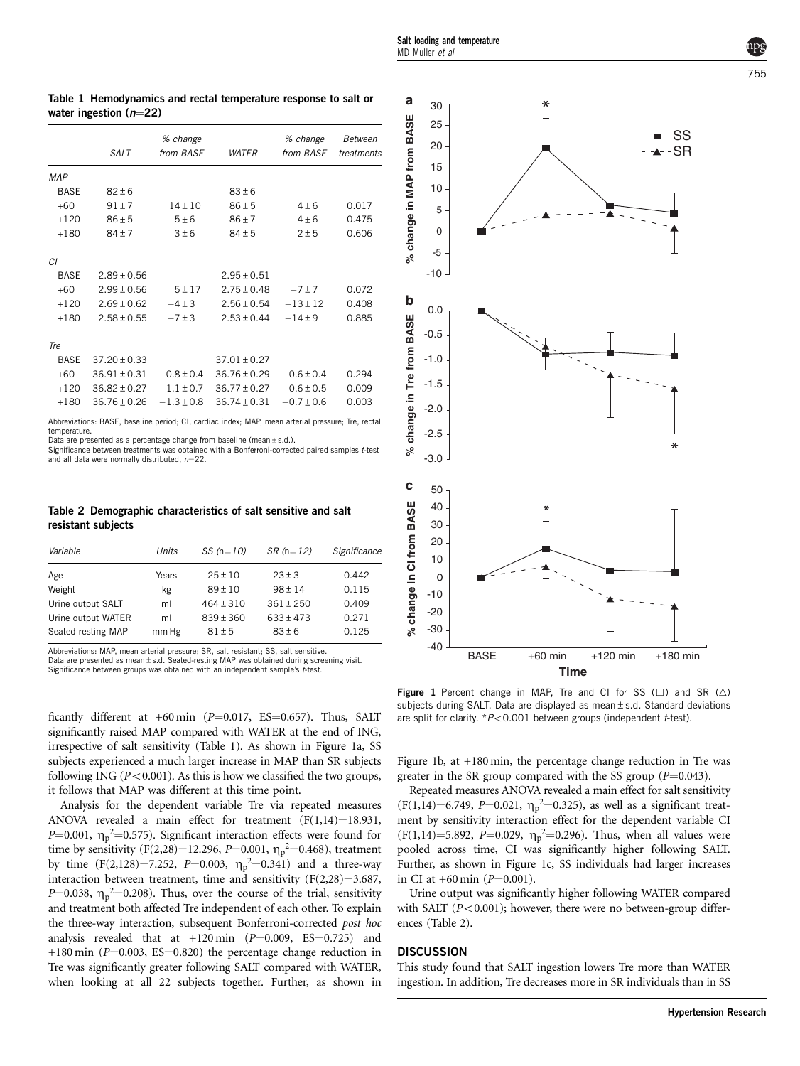|             | % change         |                |                  | % change       | Between    |
|-------------|------------------|----------------|------------------|----------------|------------|
|             | SALT             | from BASE      | <b>WATER</b>     | from BASE      | treatments |
| <b>MAP</b>  |                  |                |                  |                |            |
| <b>BASE</b> | $82 + 6$         |                | $83 \pm 6$       |                |            |
| $+60$       | $91 \pm 7$       | $14 \pm 10$    | $86 \pm 5$       | $4\pm 6$       | 0.017      |
| $+120$      | $86 \pm 5$       | 5±6            | $86 \pm 7$       | $4\pm 6$       | 0.475      |
| $+180$      | $84 \pm 7$       | 3±6            | $84 \pm 5$       | 2±5            | 0.606      |
| СI          |                  |                |                  |                |            |
| <b>BASE</b> | $2.89 \pm 0.56$  |                | $2.95 \pm 0.51$  |                |            |
| $+60$       | $2.99 \pm 0.56$  | 5 ± 17         | $2.75 \pm 0.48$  | $-7 \pm 7$     | 0.072      |
| $+120$      | $2.69 \pm 0.62$  | $-4 \pm 3$     | $2.56 \pm 0.54$  | $-13 \pm 12$   | 0.408      |
| $+180$      | $2.58 \pm 0.55$  | $-7 \pm 3$     | $2.53 \pm 0.44$  | $-14 \pm 9$    | 0.885      |
| Tre         |                  |                |                  |                |            |
| <b>BASE</b> | $37.20 \pm 0.33$ |                | $37.01 \pm 0.27$ |                |            |
| $+60$       | $36.91 \pm 0.31$ | $-0.8 \pm 0.4$ | $36.76 \pm 0.29$ | $-0.6 \pm 0.4$ | 0.294      |
| $+120$      | $36.82 \pm 0.27$ | $-1.1 \pm 0.7$ | $36.77 \pm 0.27$ | $-0.6 \pm 0.5$ | 0.009      |
| $+180$      | $36.76 \pm 0.26$ | $-1.3 \pm 0.8$ | $36.74 \pm 0.31$ | $-0.7 \pm 0.6$ | 0.003      |

<span id="page-2-0"></span>Table 1 Hemodynamics and rectal temperature response to salt or

water ingestion  $(n-22)$ 

Abbreviations: BASE, baseline period; CI, cardiac index; MAP, mean arterial pressure; Tre, rectal temperature. Data are presented as a percentage change from baseline (mean  $\pm$  s.d.).

Significance between treatments was obtained with a Bonferroni-corrected paired samples t-test and all data were normally distributed,  $n=22$ .

Table 2 Demographic characteristics of salt sensitive and salt resistant subjects

| Variable           | Units | SS $(n=10)$   | $SR(n=12)$    | Significance |
|--------------------|-------|---------------|---------------|--------------|
| Age                | Years | $25 \pm 10$   | $23 \pm 3$    | 0.442        |
| Weight             | kg    | $89 \pm 10$   | $98 \pm 14$   | 0.115        |
| Urine output SALT  | ml    | $464 \pm 310$ | $361 + 250$   | 0.409        |
| Urine output WATER | ml    | $839 \pm 360$ | $633 \pm 473$ | 0.271        |
| Seated resting MAP | mm Hg | $81 \pm 5$    | $83 \pm 6$    | 0.125        |

Abbreviations: MAP, mean arterial pressure; SR, salt resistant; SS, salt sensitive. Data are presented as mean ± s.d. Seated-resting MAP was obtained during screening visit. Significance between groups was obtained with an independent sample's t-test.

ficantly different at  $+60$  min (P=0.017, ES=0.657). Thus, SALT significantly raised MAP compared with WATER at the end of ING, irrespective of salt sensitivity (Table 1). As shown in Figure 1a, SS subjects experienced a much larger increase in MAP than SR subjects following ING ( $P < 0.001$ ). As this is how we classified the two groups, it follows that MAP was different at this time point.

Analysis for the dependent variable Tre via repeated measures ANOVA revealed a main effect for treatment  $(F(1,14)=18.931,$  $P=0.001$ ,  $\eta_{\rm p}^2=0.575$ ). Significant interaction effects were found for time by sensitivity (F(2,28)=12.296, P=0.001,  $\eta_p^2$ =0.468), treatment by time  $(F(2,128)=7.252, P=0.003, \eta_p^2=0.341)$  and a three-way interaction between treatment, time and sensitivity  $(F(2,28)=3.687,$  $P=0.038$ ,  $\eta_{\rm p}^2=0.208$ ). Thus, over the course of the trial, sensitivity and treatment both affected Tre independent of each other. To explain the three-way interaction, subsequent Bonferroni-corrected post hoc analysis revealed that at  $+120$  min ( $P=0.009$ ,  $ES=0.725$ ) and +180 min ( $P=0.003$ , ES=0.820) the percentage change reduction in Tre was significantly greater following SALT compared with WATER, when looking at all 22 subjects together. Further, as shown in



Figure 1 Percent change in MAP, Tre and CI for SS ( $\Box$ ) and SR ( $\triangle$ ) subjects during SALT. Data are displayed as mean±s.d. Standard deviations are split for clarity.  $*P<0.001$  between groups (independent t-test).

Figure 1b, at +180 min, the percentage change reduction in Tre was greater in the SR group compared with the SS group  $(P=0.043)$ .

Repeated measures ANOVA revealed a main effect for salt sensitivity  $(F(1,14)=6.749, P=0.021, \eta_p^2=0.325)$ , as well as a significant treatment by sensitivity interaction effect for the dependent variable CI  $(F(1,14)=5.892, P=0.029, \eta_p^2=0.296)$ . Thus, when all values were pooled across time, CI was significantly higher following SALT. Further, as shown in Figure 1c, SS individuals had larger increases in CI at  $+60$  min (P=0.001).

Urine output was significantly higher following WATER compared with SALT ( $P < 0.001$ ); however, there were no between-group differences (Table 2).

## **DISCUSSION**

This study found that SALT ingestion lowers Tre more than WATER ingestion. In addition, Tre decreases more in SR individuals than in SS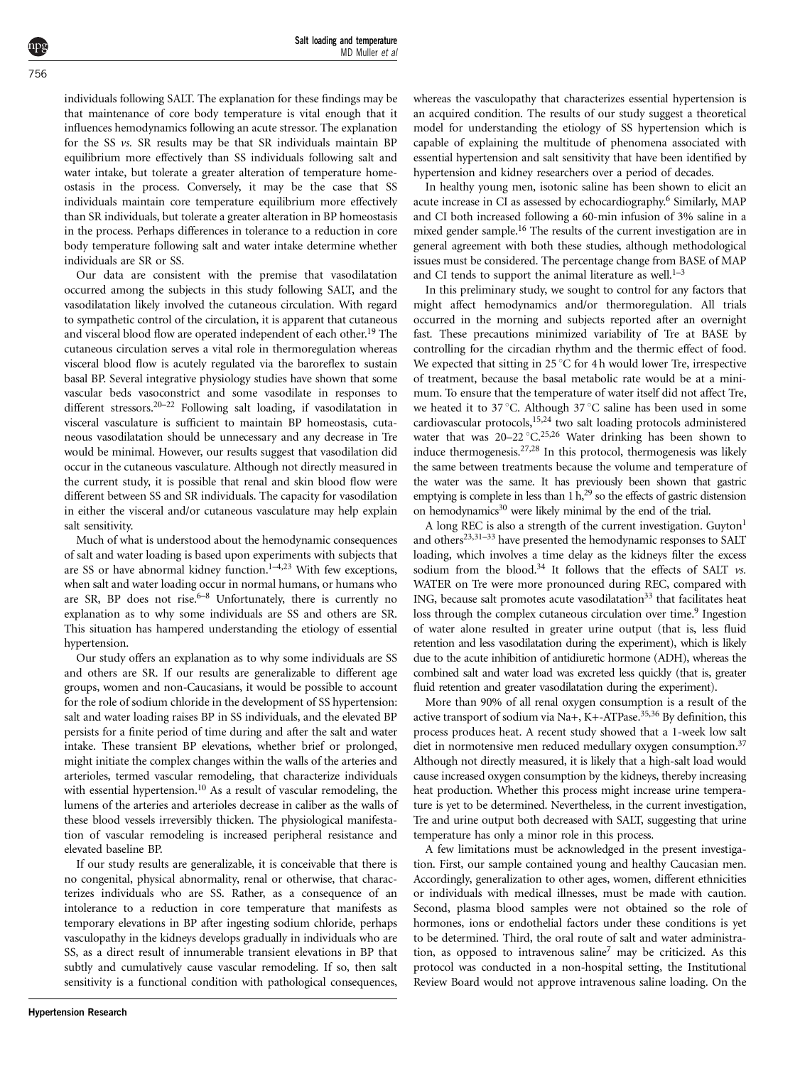individuals following SALT. The explanation for these findings may be that maintenance of core body temperature is vital enough that it influences hemodynamics following an acute stressor. The explanation for the SS vs. SR results may be that SR individuals maintain BP equilibrium more effectively than SS individuals following salt and water intake, but tolerate a greater alteration of temperature homeostasis in the process. Conversely, it may be the case that SS individuals maintain core temperature equilibrium more effectively than SR individuals, but tolerate a greater alteration in BP homeostasis in the process. Perhaps differences in tolerance to a reduction in core body temperature following salt and water intake determine whether individuals are SR or SS.

Our data are consistent with the premise that vasodilatation occurred among the subjects in this study following SALT, and the vasodilatation likely involved the cutaneous circulation. With regard to sympathetic control of the circulation, it is apparent that cutaneous and visceral blood flow are operated independent of each other.<sup>19</sup> The cutaneous circulation serves a vital role in thermoregulation whereas visceral blood flow is acutely regulated via the baroreflex to sustain basal BP. Several integrative physiology studies have shown that some vascular beds vasoconstrict and some vasodilate in responses to different stressors.<sup>20–22</sup> Following salt loading, if vasodilatation in visceral vasculature is sufficient to maintain BP homeostasis, cutaneous vasodilatation should be unnecessary and any decrease in Tre would be minimal. However, our results suggest that vasodilation did occur in the cutaneous vasculature. Although not directly measured in the current study, it is possible that renal and skin blood flow were different between SS and SR individuals. The capacity for vasodilation in either the visceral and/or cutaneous vasculature may help explain salt sensitivity.

Much of what is understood about the hemodynamic consequences of salt and water loading is based upon experiments with subjects that are SS or have abnormal kidney function.<sup>1-4,23</sup> With few exceptions, when salt and water loading occur in normal humans, or humans who are SR, BP does not rise.<sup> $6-8$ </sup> Unfortunately, there is currently no explanation as to why some individuals are SS and others are SR. This situation has hampered understanding the etiology of essential hypertension.

Our study offers an explanation as to why some individuals are SS and others are SR. If our results are generalizable to different age groups, women and non-Caucasians, it would be possible to account for the role of sodium chloride in the development of SS hypertension: salt and water loading raises BP in SS individuals, and the elevated BP persists for a finite period of time during and after the salt and water intake. These transient BP elevations, whether brief or prolonged, might initiate the complex changes within the walls of the arteries and arterioles, termed vascular remodeling, that characterize individuals with essential hypertension.<sup>10</sup> As a result of vascular remodeling, the lumens of the arteries and arterioles decrease in caliber as the walls of these blood vessels irreversibly thicken. The physiological manifestation of vascular remodeling is increased peripheral resistance and elevated baseline BP.

If our study results are generalizable, it is conceivable that there is no congenital, physical abnormality, renal or otherwise, that characterizes individuals who are SS. Rather, as a consequence of an intolerance to a reduction in core temperature that manifests as temporary elevations in BP after ingesting sodium chloride, perhaps vasculopathy in the kidneys develops gradually in individuals who are SS, as a direct result of innumerable transient elevations in BP that subtly and cumulatively cause vascular remodeling. If so, then salt sensitivity is a functional condition with pathological consequences,

In healthy young men, isotonic saline has been shown to elicit an acute increase in CI as assessed by echocardiography.[6](#page-4-0) Similarly, MAP and CI both increased following a 60-min infusion of 3% saline in a mixed gender sample.<sup>[16](#page-4-0)</sup> The results of the current investigation are in general agreement with both these studies, although methodological issues must be considered. The percentage change from BASE of MAP and CI tends to support the animal literature as well. $1-3$ 

In this preliminary study, we sought to control for any factors that might affect hemodynamics and/or thermoregulation. All trials occurred in the morning and subjects reported after an overnight fast. These precautions minimized variability of Tre at BASE by controlling for the circadian rhythm and the thermic effect of food. We expected that sitting in 25  $\mathrm{C}$  for 4 h would lower Tre, irrespective of treatment, because the basal metabolic rate would be at a minimum. To ensure that the temperature of water itself did not affect Tre, we heated it to 37 °C. Although 37 °C saline has been used in some cardiovascular protocols[,15,24](#page-4-0) two salt loading protocols administered water that was  $20-22\degree C^{25,26}$  $20-22\degree C^{25,26}$  $20-22\degree C^{25,26}$  Water drinking has been shown to induce thermogenesis.[27,28](#page-4-0) In this protocol, thermogenesis was likely the same between treatments because the volume and temperature of the water was the same. It has previously been shown that gastric emptying is complete in less than  $1 h<sup>29</sup>$  so the effects of gastric distension on hemodynamics<sup>30</sup> were likely minimal by the end of the trial.

A long REC is also a strength of the current investigation.  $Guvton<sup>1</sup>$  $Guvton<sup>1</sup>$  $Guvton<sup>1</sup>$ and others $23,31-33$  have presented the hemodynamic responses to SALT loading, which involves a time delay as the kidneys filter the excess sodium from the blood.<sup>[34](#page-4-0)</sup> It follows that the effects of SALT vs. WATER on Tre were more pronounced during REC, compared with ING, because salt promotes acute vasodilatation<sup>[33](#page-4-0)</sup> that facilitates heat loss through the complex cutaneous circulation over time.<sup>9</sup> Ingestion of water alone resulted in greater urine output (that is, less fluid retention and less vasodilatation during the experiment), which is likely due to the acute inhibition of antidiuretic hormone (ADH), whereas the combined salt and water load was excreted less quickly (that is, greater fluid retention and greater vasodilatation during the experiment).

More than 90% of all renal oxygen consumption is a result of the active transport of sodium via Na+, K+-ATPase.<sup>35,36</sup> By definition, this process produces heat. A recent study showed that a 1-week low salt diet in normotensive men reduced medullary oxygen consumption.<sup>[37](#page-4-0)</sup> Although not directly measured, it is likely that a high-salt load would cause increased oxygen consumption by the kidneys, thereby increasing heat production. Whether this process might increase urine temperature is yet to be determined. Nevertheless, in the current investigation, Tre and urine output both decreased with SALT, suggesting that urine temperature has only a minor role in this process.

A few limitations must be acknowledged in the present investigation. First, our sample contained young and healthy Caucasian men. Accordingly, generalization to other ages, women, different ethnicities or individuals with medical illnesses, must be made with caution. Second, plasma blood samples were not obtained so the role of hormones, ions or endothelial factors under these conditions is yet to be determined. Third, the oral route of salt and water administra-tion, as opposed to intravenous saline<sup>[7](#page-4-0)</sup> may be criticized. As this protocol was conducted in a non-hospital setting, the Institutional Review Board would not approve intravenous saline loading. On the

756